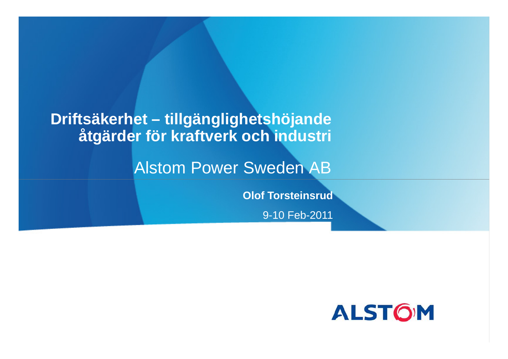## **Driftsäkerhet – tillgänglighetshöjande åtgärder för kraftverk och industri**

## Alstom Power Sweden AB

**Olof Torsteinsrud**

9-10 Feb-2011

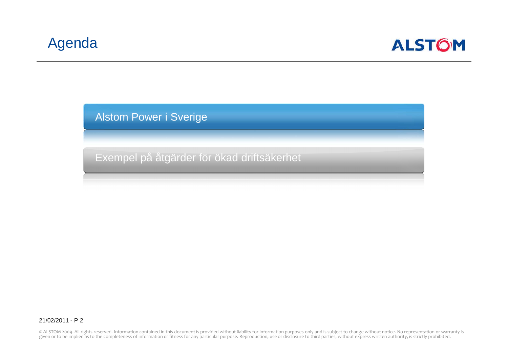

Alstom Power i Sverige

Exempel på åtgärder för ökad driftsäkerhet

21/02/2011 - P 2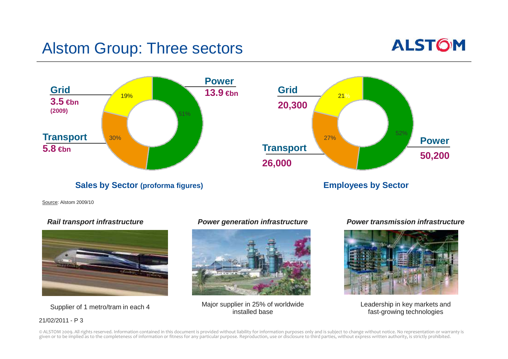## Alstom Group: Three sectors





Source: Alstom 2009/10

#### **Rail transport infrastructure**



Supplier of 1 metro/tram in each 4

#### 21/02/2011 - P 3



Major supplier in 25% of worldwide Leadership in key markets and<br>installed base installed base fast-growing technologies

#### **Power generation infrastructure Power transmission infrastructure**

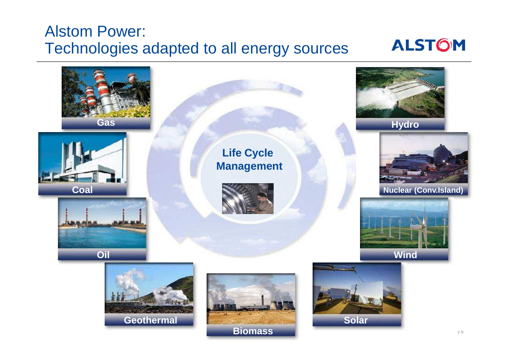## Alstom Power:Technologies adapted to all energy sources

## **ALSTOM**

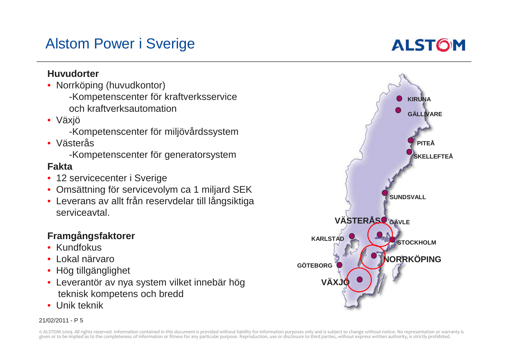## Alstom Power i Sverige

## **ALSTOM**

#### **Huvudorter**

- Norrköping (huvudkontor) -Kompetenscenter för kraftverksserviceoch kraftverksautomation
- Växjö

-Kompetenscenter för miljövårdssystem

• Västerås

-Kompetenscenter för generatorsystem

#### **Fakta**

- 12 servicecenter i Sverige
- Omsättning för servicevolym ca 1 miljard SEK
- Leverans av allt från reservdelar till långsiktiga serviceavtal.

#### **Framgångsfaktorer**

- Kundfokus
- Lokal närvaro
- Hög tillgänglighet
- Leverantör av nya system vilket innebär hög teknisk kompetens och bredd
- Unik teknik

#### 21/02/2011 - P 5

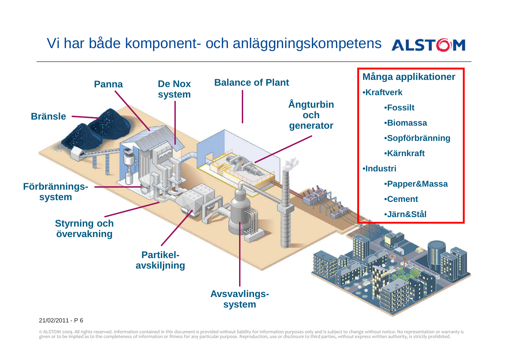## Vi har både komponent- och anläggningskompetens ALSTOM



#### 21/02/2011 - P 6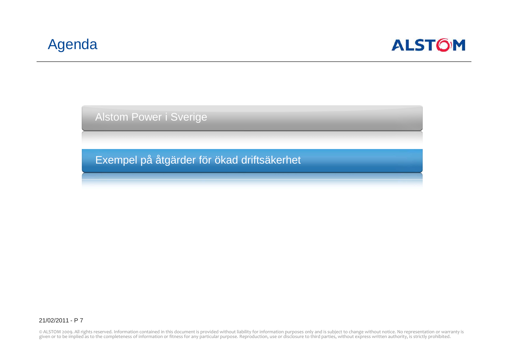

Alstom Power i Sverige

Exempel på åtgärder för ökad driftsäkerhet

21/02/2011 - P 7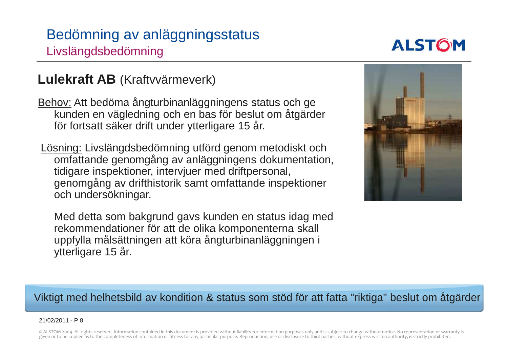## Bedömning av anläggningsstatus Livslängdsbedömning

## **ALSTOM**

# **Lulekraft AB** (Kraftvvärmeverk)

<u>Behov:</u> Att bedöma ångturbinanläggningens status och ge kunden en vägledning och en bas för beslut om åtgärder för fortsatt säker drift under ytterligare 15 år.

Lösning: Livslängdsbedömning utförd genom metodiskt och omfattande genomgång av anläggningens dokumentation, tidigare inspektioner, intervjuer med driftpersonal, genomgång av drifthistorik samt omfattande inspektioner och undersökningar.

Med detta som bakgrund gavs kunden en status idag med rekommendationer för att de olika komponenterna skall uppfylla målsättningen att köra ångturbinanläggningen i ytterligare 15 år.



### Viktigt med helhetsbild av kondition & status som stöd för att fatta "riktiga" beslut om åtgärder

#### 21/02/2011 - P 8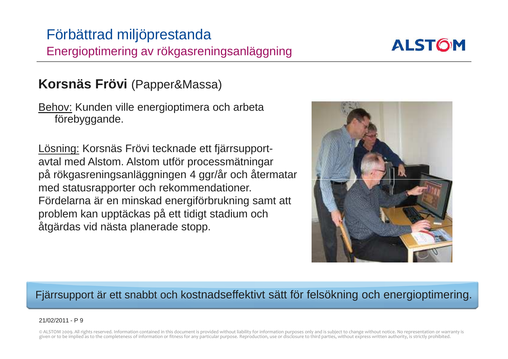### Förbättrad miljöprestanda Energioptimering av rökgasreningsanläggning

## **Korsnäs Frövi** (Papper&Massa)

<u>Behov:</u> Kunden ville energioptimera och arbeta förebyggande.

<u>Lösning:</u> Korsnäs Frövi tecknade ett fjärrsupportavtal med Alstom. Alstom utför processmätningar på rökgasreningsanläggningen 4 ggr/år och återmatarmed statusrapporter och rekommendationer.Fördelarna är en minskad energiförbrukning samt attproblem kan upptäckas på ett tidigt stadium ochåtgärdas vid nästa planerade stopp.



### Fjärrsupport är ett snabbt och kostnadseffektivt sätt för felsökning och energioptimering.

#### 21/02/2011 - P 9

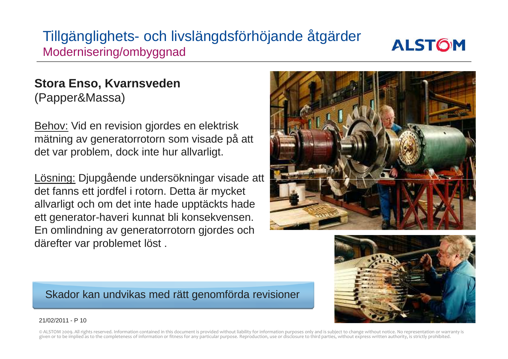## Tillgänglighets- och livslängdsförhöjande åtgärder Modernisering/ombyggnad



### **Stora Enso, Kvarnsveden** (Papper&Massa)

<u>Behov:</u> Vid en revision gjordes en elektrisk mätning av generatorrotorn som visade på att det var problem, dock inte hur allvarligt.

Lösning: Djupgående undersökningar visade att det fanns ett jordfel i rotorn. Detta är mycket allvarligt och om det inte hade upptäckts hade ett generator-haveri kunnat bli konsekvensen. En omlindning av generatorrotorn gjordes och därefter var problemet löst .





Skador kan undvikas med rätt genomförda revisioner

#### 21/02/2011 - P 10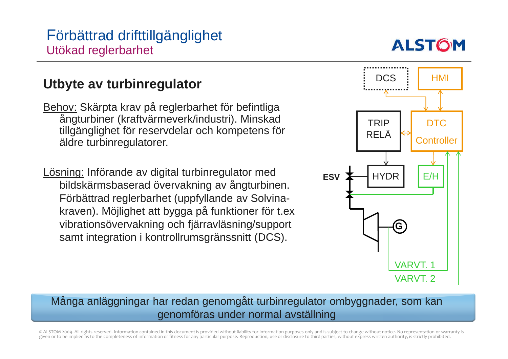

### **Utbyte av turbinregulator**

<u>Behov:</u> Skärpta krav på reglerbarhet för befintliga ångturbiner (kraftvärmeverk/industri). Minskad tillgänglighet för reservdelar och kompetens för äldre turbinregulatorer.

Lösning: Införande av digital turbinregulator med bildskärmsbaserad övervakning av ångturbinen. Förbättrad reglerbarhet (uppfyllande av Solvinakraven). Möjlighet att bygga på funktioner för t.ex vibrationsövervakning och fjärravläsning/support samt integration i kontrollrumsgränssnitt (DCS).



### Många anläggningar har redan genomgått turbinregulator ombyggnader, som kan genomföras under normal avställning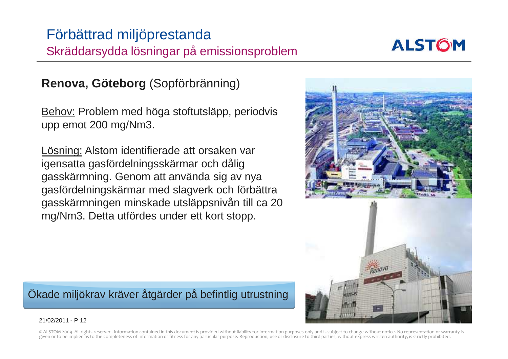### Förbättrad miljöprestanda Skräddarsydda lösningar på emissionsproblem

### **Renova, Göteborg** (Sopförbränning)

<u>Behov:</u> Problem med höga stoftutsläpp, periodvis upp emot 200 mg/Nm3.

Lösning: Alstom identifierade att orsaken var igensatta gasfördelningsskärmar och dålig gasskärmning. Genom att använda sig av nya gasfördelningskärmar med slagverk och förbättra gasskärmningen minskade utsläppsnivån till ca 20 mg/Nm3. Detta utfördes under ett kort stopp.

Ökade miljökrav kräver åtgärder på befintlig utrustning

#### 21/02/2011 - P 12



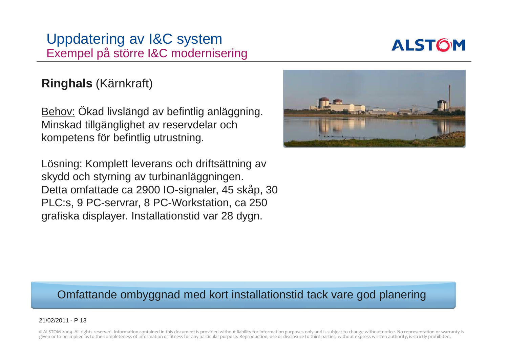### Uppdatering av I&C system Exempel på större I&C modernisering



### **Ringhals** (Kärnkraft)

Behov: Ökad livslängd av befintlig anläggning. Minskad tillgänglighet av reservdelar och kompetens för befintlig utrustning.

Lösning: Komplett leverans och driftsättning av skydd och styrning av turbinanläggningen. Detta omfattade ca 2900 IO-signaler, 45 skåp, 30 PLC:s, 9 PC-servrar, 8 PC-Workstation, ca 250 grafiska displayer. Installationstid var 28 dygn.



### Omfattande ombyggnad med kort installationstid tack vare god planering

#### 21/02/2011 - P 13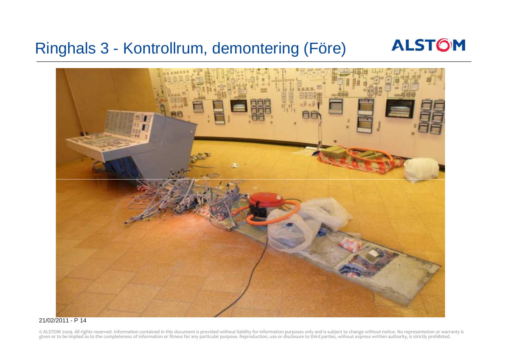## Ringhals 3 - Kontrollrum, demontering (Före)





#### 21/02/2011 - P 14

© ALSTOM 2009. All rights reserved. Information contained in this document is provided without liability for information purposes only and is subject to change without notice. No representation or warranty is<br>given or to b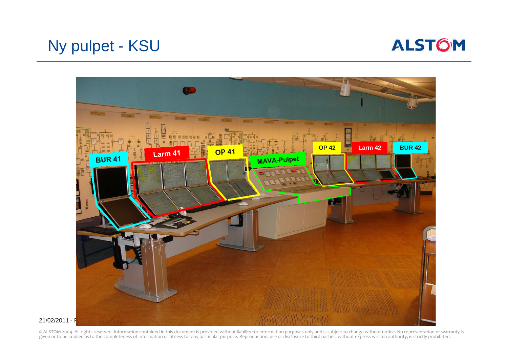

## Ny pulpet - KSU



21/02/2011 - F

© ALSTOM 2009. All rights reserved. Information contained in this document is provided without liability for information purposes only and is subject to change without notice. No representation or warranty is<br>given or to b